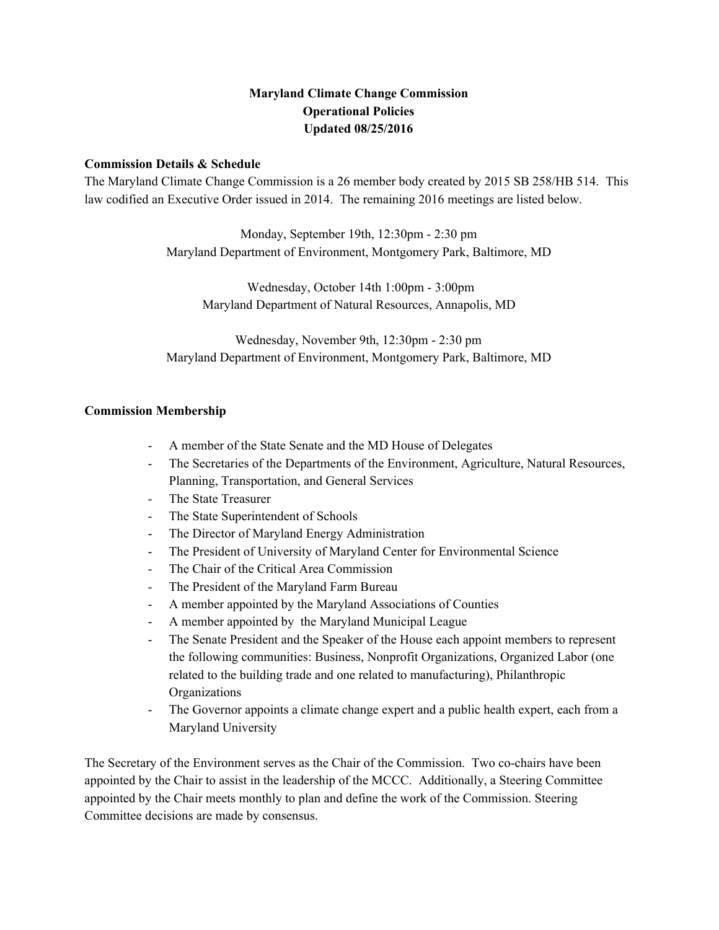# **Maryland Climate Change Commission Operational Policies Updated 08/25/2016**

## **Commission Details & Schedule**

The Maryland Climate Change Commission is a 26 member body created by 2015 SB 258/HB 514. This law codified an Executive Order issued in 2014. The remaining 2016 meetings are listed below.

> Monday, September 19th, 12:30pm 2:30 pm Maryland Department of Environment, Montgomery Park, Baltimore, MD

Wednesday, October 14th 1:00pm - 3:00pm Maryland Department of Natural Resources, Annapolis, MD

Wednesday, November 9th, 12:30pm - 2:30 pm Maryland Department of Environment, Montgomery Park, Baltimore, MD

## **Commission Membership**

- A member of the State Senate and the MD House of Delegates
- The Secretaries of the Departments of the Environment, Agriculture, Natural Resources, Planning, Transportation, and General Services
- The State Treasurer
- The State Superintendent of Schools
- The Director of Maryland Energy Administration
- The President of University of Maryland Center for Environmental Science
- The Chair of the Critical Area Commission
- The President of the Maryland Farm Bureau
- A member appointed by the Maryland Associations of Counties
- A member appointed by the Maryland Municipal League
- The Senate President and the Speaker of the House each appoint members to represent the following communities: Business, Nonprofit Organizations, Organized Labor (one related to the building trade and one related to manufacturing), Philanthropic **Organizations**
- The Governor appoints a climate change expert and a public health expert, each from a Maryland University

The Secretary of the Environment serves as the Chair of the Commission. Two cochairs have been appointed by the Chair to assist in the leadership of the MCCC. Additionally, a Steering Committee appointed by the Chair meets monthly to plan and define the work of the Commission. Steering Committee decisions are made by consensus.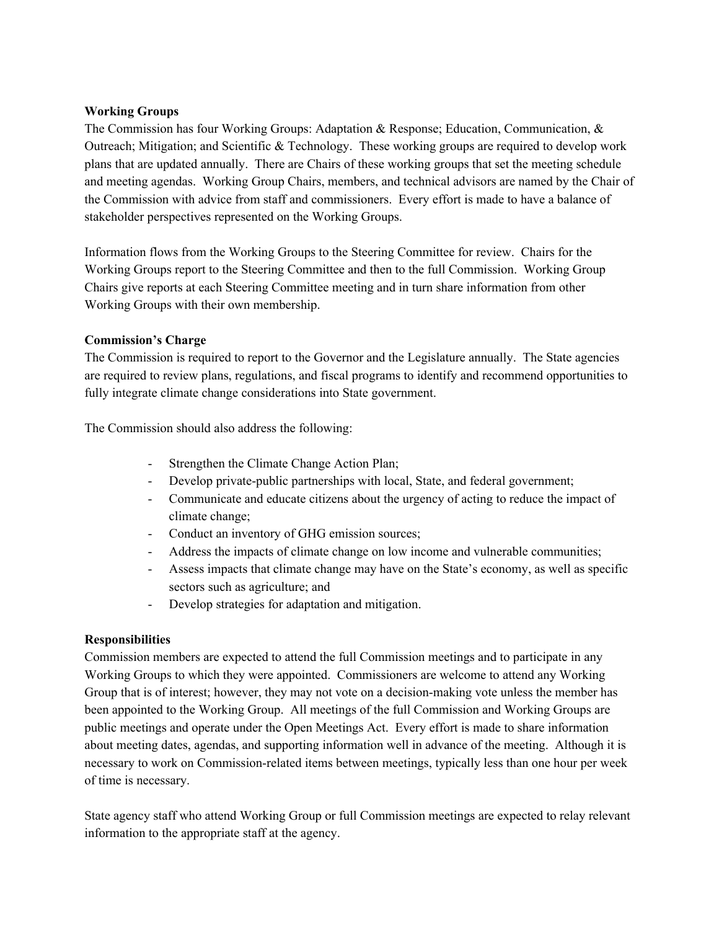#### **Working Groups**

The Commission has four Working Groups: Adaptation & Response; Education, Communication, & Outreach; Mitigation; and Scientific & Technology. These working groups are required to develop work plans that are updated annually. There are Chairs of these working groups that set the meeting schedule and meeting agendas. Working Group Chairs, members, and technical advisors are named by the Chair of the Commission with advice from staff and commissioners. Every effort is made to have a balance of stakeholder perspectives represented on the Working Groups.

Information flows from the Working Groups to the Steering Committee for review. Chairs for the Working Groups report to the Steering Committee and then to the full Commission. Working Group Chairs give reports at each Steering Committee meeting and in turn share information from other Working Groups with their own membership.

## **Commission's Charge**

The Commission is required to report to the Governor and the Legislature annually. The State agencies are required to review plans, regulations, and fiscal programs to identify and recommend opportunities to fully integrate climate change considerations into State government.

The Commission should also address the following:

- Strengthen the Climate Change Action Plan;
- Develop private-public partnerships with local, State, and federal government;
- Communicate and educate citizens about the urgency of acting to reduce the impact of climate change;
- Conduct an inventory of GHG emission sources;
- Address the impacts of climate change on low income and vulnerable communities;
- Assess impacts that climate change may have on the State's economy, as well as specific sectors such as agriculture; and
- Develop strategies for adaptation and mitigation.

# **Responsibilities**

Commission members are expected to attend the full Commission meetings and to participate in any Working Groups to which they were appointed. Commissioners are welcome to attend any Working Group that is of interest; however, they may not vote on a decision-making vote unless the member has been appointed to the Working Group. All meetings of the full Commission and Working Groups are public meetings and operate under the Open Meetings Act. Every effort is made to share information about meeting dates, agendas, and supporting information well in advance of the meeting. Although it is necessary to work on Commission-related items between meetings, typically less than one hour per week of time is necessary.

State agency staff who attend Working Group or full Commission meetings are expected to relay relevant information to the appropriate staff at the agency.